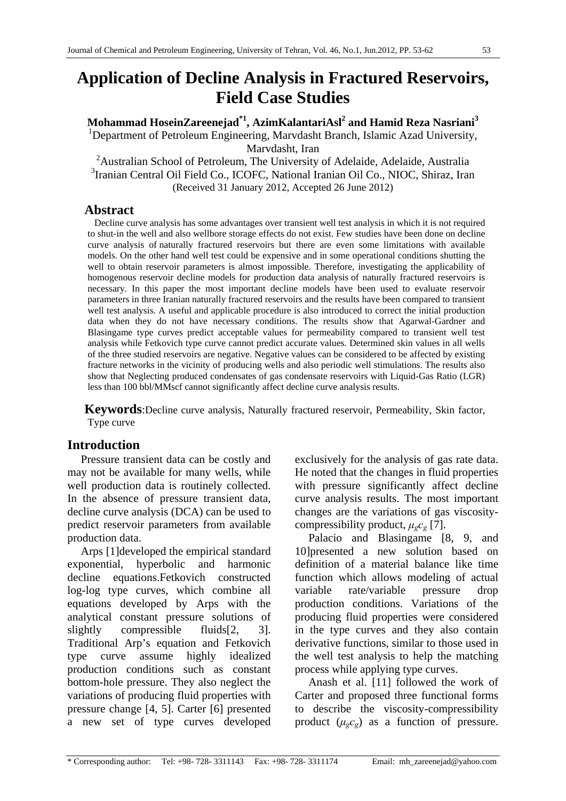# **Application of Decline Analysis in Fractured Reservoirs, Field Case Studies**

 $\mathbf{M}$ ohammad HoseinZareenejad $^{\ast1}$ , AzimKalantariAsl $^{\mathbf{2}}$  and Hamid Reza Nasriani $^{\mathbf{3}}$ <sup>1</sup>Department of Petroleum Engineering, Marvdasht Branch, Islamic Azad University, Marvdasht, Iran

<sup>2</sup> Australian School of Petroleum, The University of Adelaide, Adelaide, Australia 3 Iranian Central Oil Field Co., ICOFC, National Iranian Oil Co., NIOC, Shiraz, Iran (Received 31 January 2012, Accepted 26 June 2012)

## **Abstract**

Decline curve analysis has some advantages over transient well test analysis in which it is not required to shut-in the well and also wellbore storage effects do not exist. Few studies have been done on decline curve analysis of naturally fractured reservoirs but there are even some limitations with available models. On the other hand well test could be expensive and in some operational conditions shutting the well to obtain reservoir parameters is almost impossible. Therefore, investigating the applicability of homogenous reservoir decline models for production data analysis of naturally fractured reservoirs is necessary. In this paper the most important decline models have been used to evaluate reservoir parameters in three Iranian naturally fractured reservoirs and the results have been compared to transient well test analysis. A useful and applicable procedure is also introduced to correct the initial production data when they do not have necessary conditions. The results show that Agarwal-Gardner and Blasingame type curves predict acceptable values for permeability compared to transient well test analysis while Fetkovich type curve cannot predict accurate values. Determined skin values in all wells of the three studied reservoirs are negative. Negative values can be considered to be affected by existing fracture networks in the vicinity of producing wells and also periodic well stimulations. The results also show that Neglecting produced condensates of gas condensate reservoirs with Liquid-Gas Ratio (LGR) less than 100 bbl/MMscf cannot significantly affect decline curve analysis results.

**Keywords**:Decline curve analysis, Naturally fractured reservoir, Permeability, Skin factor, Type curve

# **Introduction**

Pressure transient data can be costly and may not be available for many wells, while well production data is routinely collected. In the absence of pressure transient data, decline curve analysis (DCA) can be used to predict reservoir parameters from available production data.

Arps [1]developed the empirical standard exponential, hyperbolic and harmonic decline equations.Fetkovich constructed log-log type curves, which combine all equations developed by Arps with the analytical constant pressure solutions of slightly compressible fluids<sup>[2, 3]</sup>. Traditional Arp's equation and Fetkovich type curve assume highly idealized production conditions such as constant bottom-hole pressure. They also neglect the variations of producing fluid properties with pressure change [4, 5]. Carter [6] presented a new set of type curves developed

exclusively for the analysis of gas rate data. He noted that the changes in fluid properties with pressure significantly affect decline curve analysis results. The most important changes are the variations of gas viscositycompressibility product, *μgcg* [7].

Palacio and Blasingame [8, 9, and 10]presented a new solution based on definition of a material balance like time function which allows modeling of actual variable rate/variable pressure drop production conditions. Variations of the producing fluid properties were considered in the type curves and they also contain derivative functions, similar to those used in the well test analysis to help the matching process while applying type curves.

Anash et al. [11] followed the work of Carter and proposed three functional forms to describe the viscosity-compressibility product  $(\mu_{g}c_{g})$  as a function of pressure.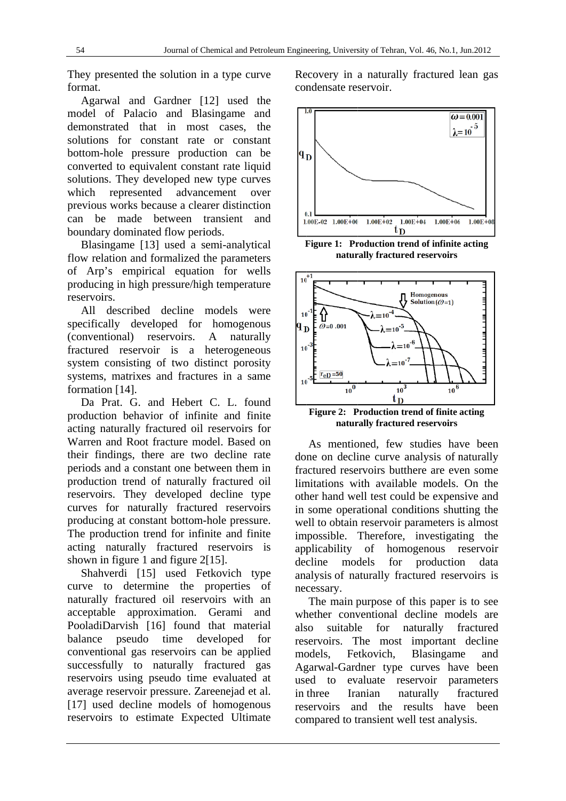They presented the solution in a type curve. format.

Agarwal and Gardner [12] used the model of Palacio and Blasingame and demonstrated that in most cases, the solutions for constant rate or constant bottom-hole pressure production can be converted to equivalent constant rate liquid solutions. They developed new type curves represented advancement over which previous works because a clearer distinction can be made between transient and boundary dominated flow periods.

Blasingame [13] used a semi-analytical flow relation and formalized the parameters of Arp's empirical equation for wells producing in high pressure/high temperature *reservoirs* 

All described decline models were specifically developed for homogenous (conventional) reservoirs.  $\mathbf{A}$ naturally fractured reservoir is a heterogeneous system consisting of two distinct porosity systems, matrixes and fractures in a same formation [14].

Da Prat. G. and Hebert C. L. found production behavior of infinite and finite acting naturally fractured oil reservoirs for Warren and Root fracture model. Based on their findings, there are two decline rate periods and a constant one between them in production trend of naturally fractured oil reservoirs. They developed decline type curves for naturally fractured reservoirs producing at constant bottom-hole pressure. The production trend for infinite and finite acting naturally fractured reservoirs is shown in figure 1 and figure 2[15].

Shahverdi [15] used Fetkovich type curve to determine the properties of naturally fractured oil reservoirs with an acceptable approximation. Gerami and PooladiDarvish [16] found that material balance pseudo time developed for conventional gas reservoirs can be applied successfully to naturally fractured gas reservoirs using pseudo time evaluated at average reservoir pressure. Zareenejad et al. [17] used decline models of homogenous reservoirs to estimate Expected Ultimate

Recovery in a naturally fractured lean gas condensate reservoir.



Figure 1: Production trend of infinite acting naturally fractured reservoirs



Figure 2: Production trend of finite acting naturally fractured reservoirs

As mentioned, few studies have been done on decline curve analysis of naturally fractured reservoirs butthere are even some limitations with available models. On the other hand well test could be expensive and in some operational conditions shutting the well to obtain reservoir parameters is almost impossible. Therefore, investigating the applicability of homogenous reservoir decline models for production data analysis of naturally fractured reservoirs is necessary.

The main purpose of this paper is to see whether conventional decline models are also suitable for naturally fractured reservoirs. The most important decline Fetkovich. Blasingame models. and Agarwal-Gardner type curves have been used to evaluate reservoir parameters in three naturally Iranian fractured reservoirs and the results have been compared to transient well test analysis.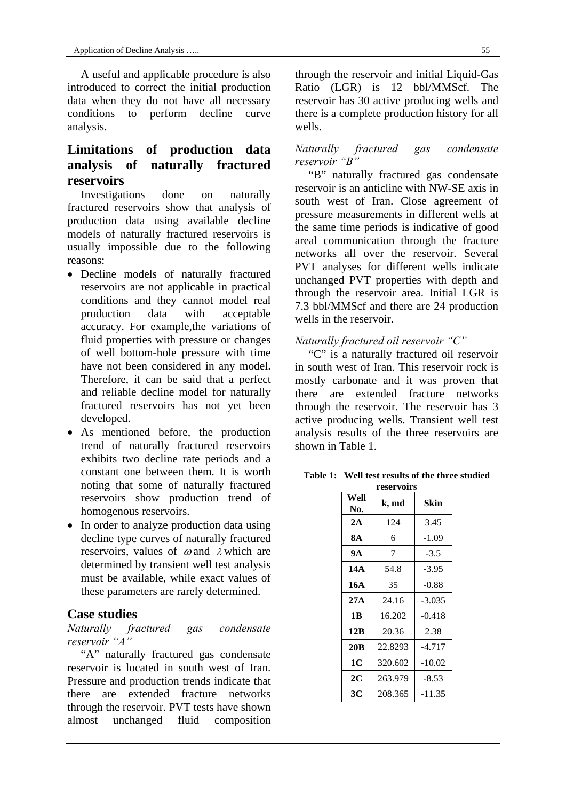A useful and applicable procedure is also introduced to correct the initial production data when they do not have all necessary conditions to perform decline curve analysis.

# **Limitations of production data analysis of naturally fractured reservoirs**

Investigations done on naturally fractured reservoirs show that analysis of production data using available decline models of naturally fractured reservoirs is usually impossible due to the following reasons:

- Decline models of naturally fractured reservoirs are not applicable in practical conditions and they cannot model real production data with acceptable accuracy. For example,the variations of fluid properties with pressure or changes of well bottom-hole pressure with time have not been considered in any model. Therefore, it can be said that a perfect and reliable decline model for naturally fractured reservoirs has not yet been developed.
- As mentioned before, the production trend of naturally fractured reservoirs exhibits two decline rate periods and a constant one between them. It is worth noting that some of naturally fractured reservoirs show production trend of homogenous reservoirs.
- In order to analyze production data using decline type curves of naturally fractured reservoirs, values of  $\omega$  and  $\lambda$  which are determined by transient well test analysis must be available, while exact values of these parameters are rarely determined.

## **Case studies**

*Naturally fractured gas condensate reservoir "A"* 

"A" naturally fractured gas condensate reservoir is located in south west of Iran. Pressure and production trends indicate that there are extended fracture networks through the reservoir. PVT tests have shown almost unchanged fluid composition through the reservoir and initial Liquid-Gas Ratio (LGR) is 12 bbl/MMScf. The reservoir has 30 active producing wells and there is a complete production history for all wells.

#### *Naturally fractured gas condensate reservoir "B"*

"B" naturally fractured gas condensate reservoir is an anticline with NW-SE axis in south west of Iran. Close agreement of pressure measurements in different wells at the same time periods is indicative of good areal communication through the fracture networks all over the reservoir. Several PVT analyses for different wells indicate unchanged PVT properties with depth and through the reservoir area. Initial LGR is 7.3 bbl/MMScf and there are 24 production wells in the reservoir.

## *Naturally fractured oil reservoir "C"*

"C" is a naturally fractured oil reservoir in south west of Iran. This reservoir rock is mostly carbonate and it was proven that there are extended fracture networks through the reservoir. The reservoir has 3 active producing wells. Transient well test analysis results of the three reservoirs are shown in Table 1.

**Table 1: Well test results of the three studied** 

| reservoirs      |         |          |  |  |  |  |
|-----------------|---------|----------|--|--|--|--|
| Well<br>No.     | k, md   | Skin     |  |  |  |  |
| 2A              | 124     | 3.45     |  |  |  |  |
| 8A              | 6       | -1.09    |  |  |  |  |
| 9А              | 7       | $-3.5$   |  |  |  |  |
| 14A             | 54.8    | $-3.95$  |  |  |  |  |
| 16A             | 35      | $-0.88$  |  |  |  |  |
| 27A             | 24.16   | $-3.035$ |  |  |  |  |
| 1 <b>B</b>      | 16.202  | $-0.418$ |  |  |  |  |
| 12B             | 20.36   | 2.38     |  |  |  |  |
| 20 <sub>B</sub> | 22.8293 | $-4.717$ |  |  |  |  |
| 1C              | 320.602 | $-10.02$ |  |  |  |  |
| 2C              | 263.979 | $-8.53$  |  |  |  |  |
| 3C              | 208.365 | $-11.35$ |  |  |  |  |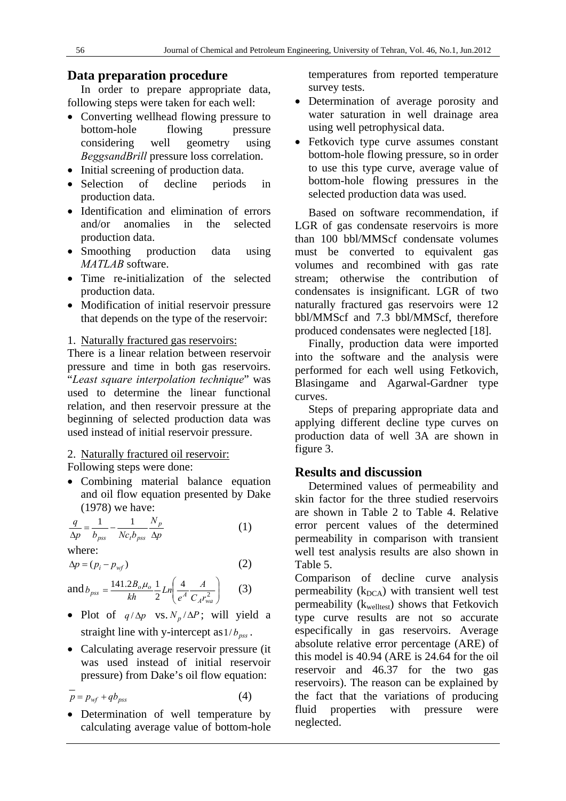## **Data preparation procedure**

In order to prepare appropriate data, following steps were taken for each well:

- Converting wellhead flowing pressure to bottom-hole flowing pressure considering well geometry using *BeggsandBrill* pressure loss correlation.
- Initial screening of production data.
- Selection of decline periods in production data.
- Identification and elimination of errors and/or anomalies in the selected production data.
- Smoothing production data using *MATLAB* software.
- Time re-initialization of the selected production data.
- Modification of initial reservoir pressure that depends on the type of the reservoir:

1. Naturally fractured gas reservoirs:

There is a linear relation between reservoir pressure and time in both gas reservoirs. "*Least square interpolation technique*" was used to determine the linear functional relation, and then reservoir pressure at the beginning of selected production data was used instead of initial reservoir pressure.

#### 2. Naturally fractured oil reservoir:

Following steps were done:

 Combining material balance equation and oil flow equation presented by Dake (1978) we have:

$$
\frac{q}{\Delta p} = \frac{1}{b_{\rho ss}} - \frac{1}{Nc_t b_{\rho ss}} \frac{N_p}{\Delta p}
$$
(1)

where:

$$
\Delta p = (p_i - p_{wf}) \tag{2}
$$

and 
$$
b_{pss} = \frac{141.2B_o\mu_o}{kh} \frac{1}{2} Ln \left( \frac{4}{e^A} \frac{A}{C_A r_{wa}^2} \right)
$$
 (3)

- Plot of  $q/\Delta p$  vs.  $N_p/\Delta P$ ; will yield a straight line with y-intercept as  $1/b_{\text{pss}}$ .
- Calculating average reservoir pressure (it) was used instead of initial reservoir pressure) from Dake's oil flow equation:

$$
\overline{p} = p_{wf} + qb_{pss} \tag{4}
$$

• Determination of well temperature by calculating average value of bottom-hole temperatures from reported temperature survey tests.

- Determination of average porosity and water saturation in well drainage area using well petrophysical data.
- Fetkovich type curve assumes constant bottom-hole flowing pressure, so in order to use this type curve, average value of bottom-hole flowing pressures in the selected production data was used.

Based on software recommendation, if LGR of gas condensate reservoirs is more than 100 bbl/MMScf condensate volumes must be converted to equivalent gas volumes and recombined with gas rate stream; otherwise the contribution of condensates is insignificant. LGR of two naturally fractured gas reservoirs were 12 bbl/MMScf and 7.3 bbl/MMScf, therefore produced condensates were neglected [18].

Finally, production data were imported into the software and the analysis were performed for each well using Fetkovich, Blasingame and Agarwal-Gardner type curves.

Steps of preparing appropriate data and applying different decline type curves on production data of well 3A are shown in figure 3.

#### **Results and discussion**

Determined values of permeability and skin factor for the three studied reservoirs are shown in Table 2 to Table 4. Relative error percent values of the determined permeability in comparison with transient well test analysis results are also shown in Table 5.

Comparison of decline curve analysis permeability  $(k_{DCA})$  with transient well test permeability ( $k_{\text{welltest}}$ ) shows that Fetkovich type curve results are not so accurate especifically in gas reservoirs. Average absolute relative error percentage (ARE) of this model is 40.94 (ARE is 24.64 for the oil reservoir and 46.37 for the two gas reservoirs). The reason can be explained by the fact that the variations of producing fluid properties with pressure were neglected.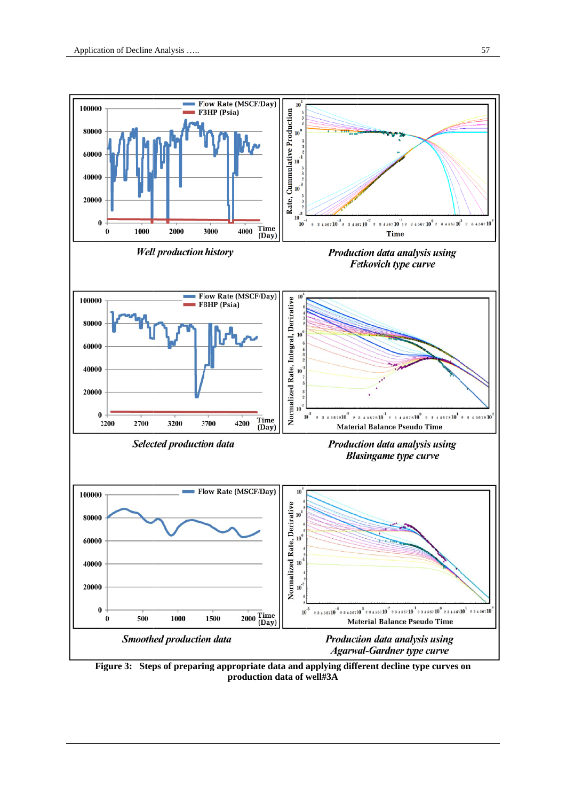

Figure 3: Steps of preparing appropriate data and applying different decline type curves on production data of well#3A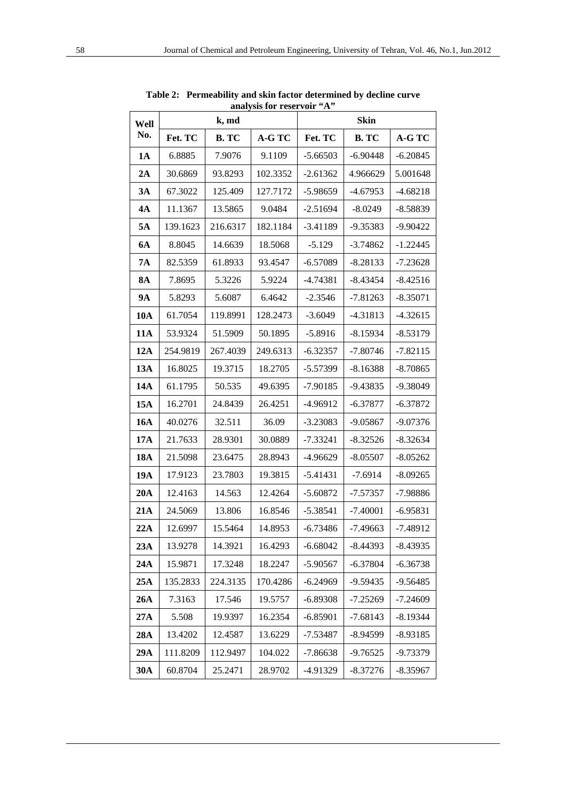| Well       |          | k, md    | analysis fol Tesel voll | $\mathbf{r}$<br><b>Skin</b> |              |            |  |
|------------|----------|----------|-------------------------|-----------------------------|--------------|------------|--|
| No.        | Fet. TC  | B. TC    | A-G TC                  | Fet. TC                     | <b>B. TC</b> | A-G TC     |  |
| 1A         | 6.8885   | 7.9076   | 9.1109                  | $-5.66503$                  | $-6.90448$   | $-6.20845$ |  |
| 2A         | 30.6869  | 93.8293  | 102.3352                | $-2.61362$                  | 4.966629     | 5.001648   |  |
| 3A         | 67.3022  | 125.409  | 127.7172                | $-5.98659$                  | $-4.67953$   | $-4.68218$ |  |
| <b>4A</b>  | 11.1367  | 13.5865  | 9.0484                  | $-2.51694$                  | $-8.0249$    | $-8.58839$ |  |
| 5A         | 139.1623 | 216.6317 | 182.1184                | $-3.41189$                  | -9.35383     | $-9.90422$ |  |
| <b>6A</b>  | 8.8045   | 14.6639  | 18.5068                 | $-5.129$                    | $-3.74862$   | $-1.22445$ |  |
| <b>7A</b>  | 82.5359  | 61.8933  | 93.4547                 | $-6.57089$                  | $-8.28133$   | $-7.23628$ |  |
| <b>8A</b>  | 7.8695   | 5.3226   | 5.9224                  | $-4.74381$                  | $-8.43454$   | $-8.42516$ |  |
| 9A         | 5.8293   | 5.6087   | 6.4642                  | $-2.3546$                   | $-7.81263$   | $-8.35071$ |  |
| 10A        | 61.7054  | 119.8991 | 128.2473                | $-3.6049$                   | $-4.31813$   | $-4.32615$ |  |
| <b>11A</b> | 53.9324  | 51.5909  | 50.1895                 | $-5.8916$                   | $-8.15934$   | $-8.53179$ |  |
| 12A        | 254.9819 | 267.4039 | 249.6313                | $-6.32357$<br>$-7.80746$    |              | $-7.82115$ |  |
| 13A        | 16.8025  | 19.3715  | 18.2705                 | $-5.57399$<br>$-8.16388$    |              | $-8.70865$ |  |
| 14A        | 61.1795  | 50.535   | 49.6395                 | $-7.90185$                  | $-9.43835$   | -9.38049   |  |
| 15A        | 16.2701  | 24.8439  | 26.4251                 | $-4.96912$                  | $-6.37877$   | $-6.37872$ |  |
| 16A        | 40.0276  | 32.511   | 36.09                   | $-3.23083$<br>$-9.05867$    |              | $-9.07376$ |  |
| 17A        | 21.7633  | 28.9301  | 30.0889                 | $-7.33241$<br>$-8.32526$    |              | $-8.32634$ |  |
| <b>18A</b> | 21.5098  | 23.6475  | 28.8943                 | $-4.96629$<br>$-8.05507$    |              | $-8.05262$ |  |
| 19A        | 17.9123  | 23.7803  | 19.3815                 | $-5.41431$                  | $-7.6914$    |            |  |
| 20A        | 12.4163  | 14.563   | 12.4264                 | $-5.60872$<br>$-7.57357$    |              | -7.98886   |  |
| 21A        | 24.5069  | 13.806   | 16.8546                 | $-5.38541$<br>$-7.40001$    |              | $-6.95831$ |  |
| 22A        | 12.6997  | 15.5464  | 14.8953                 | $-6.73486$<br>$-7.49663$    |              | -7.48912   |  |
| 23A        | 13.9278  | 14.3921  | 16.4293                 | $-6.68042$                  | $-8.44393$   | $-8.43935$ |  |
| 24A        | 15.9871  | 17.3248  | 18.2247                 | $-5.90567$                  | $-6.37804$   | $-6.36738$ |  |
| 25A        | 135.2833 | 224.3135 | 170.4286                | $-6.24969$                  | $-9.59435$   | $-9.56485$ |  |
| 26A        | 7.3163   | 17.546   | 19.5757                 | $-6.89308$                  | $-7.25269$   | $-7.24609$ |  |
| 27A        | 5.508    | 19.9397  | 16.2354                 | $-6.85901$                  | $-7.68143$   | $-8.19344$ |  |
| 28A        | 13.4202  | 12.4587  | 13.6229                 | $-7.53487$                  | $-8.94599$   | -8.93185   |  |
| 29A        | 111.8209 | 112.9497 | 104.022                 | $-7.86638$                  | $-9.76525$   | -9.73379   |  |
| 30A        | 60.8704  | 25.2471  | 28.9702                 | $-4.91329$                  | $-8.37276$   | $-8.35967$ |  |

**Table 2: Permeability and skin factor determined by decline curve analysis for reservoir "A"**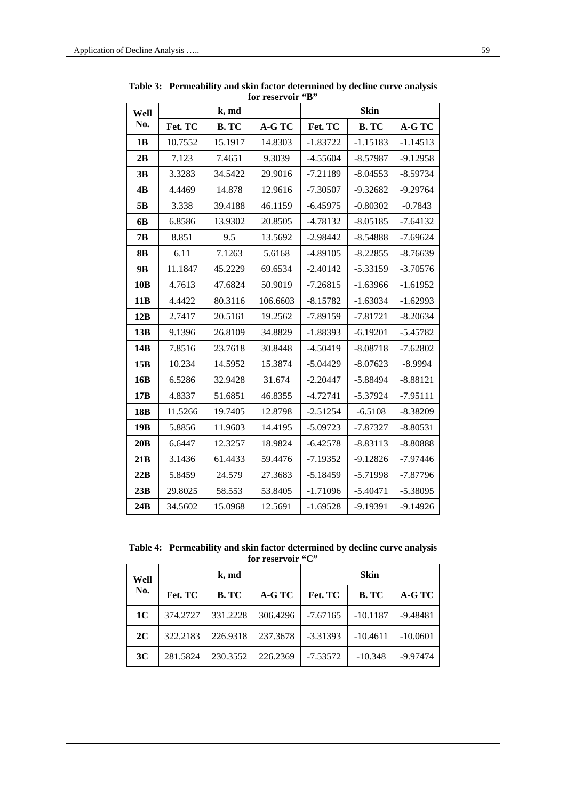| Well            |         | k, md       |          | <b>Skin</b> |              |            |  |
|-----------------|---------|-------------|----------|-------------|--------------|------------|--|
| No.             | Fet. TC | <b>B.TC</b> | A-G TC   | Fet. TC     | <b>B. TC</b> | A-G TC     |  |
| 1B              | 10.7552 | 15.1917     | 14.8303  | $-1.83722$  | $-1.15183$   | $-1.14513$ |  |
| 2B              | 7.123   | 7.4651      | 9.3039   | $-4.55604$  | $-8.57987$   | $-9.12958$ |  |
| 3B              | 3.3283  | 34.5422     | 29.9016  | $-7.21189$  | $-8.04553$   | $-8.59734$ |  |
| 4B              | 4.4469  | 14.878      | 12.9616  | $-7.30507$  | $-9.32682$   | $-9.29764$ |  |
| 5 <sub>B</sub>  | 3.338   | 39.4188     | 46.1159  | $-6.45975$  | $-0.80302$   | $-0.7843$  |  |
| 6 <b>B</b>      | 6.8586  | 13.9302     | 20.8505  | $-4.78132$  | $-8.05185$   | $-7.64132$ |  |
| 7B              | 8.851   | 9.5         | 13.5692  | $-2.98442$  | $-8.54888$   | $-7.69624$ |  |
| 8B              | 6.11    | 7.1263      | 5.6168   | $-4.89105$  | $-8.22855$   | $-8.76639$ |  |
| 9 <b>B</b>      | 11.1847 | 45.2229     | 69.6534  | $-2.40142$  | $-5.33159$   | $-3.70576$ |  |
| 10B             | 4.7613  | 47.6824     | 50.9019  | $-7.26815$  | $-1.63966$   | $-1.61952$ |  |
| 11B             | 4.4422  | 80.3116     | 106.6603 | $-8.15782$  | $-1.63034$   | $-1.62993$ |  |
| 12B             | 2.7417  | 20.5161     | 19.2562  | $-7.89159$  | $-7.81721$   | $-8.20634$ |  |
| 13B             | 9.1396  | 26.8109     | 34.8829  | $-1.88393$  | $-6.19201$   | $-5.45782$ |  |
| 14B             | 7.8516  | 23.7618     | 30.8448  | $-4.50419$  | $-8.08718$   | $-7.62802$ |  |
| 15B             | 10.234  | 14.5952     | 15.3874  | $-5.04429$  | $-8.07623$   | $-8.9994$  |  |
| 16B             | 6.5286  | 32.9428     | 31.674   | $-2.20447$  | $-5.88494$   | $-8.88121$ |  |
| 17B             | 4.8337  | 51.6851     | 46.8355  | $-4.72741$  | $-5.37924$   | $-7.95111$ |  |
| 18 <sub>B</sub> | 11.5266 | 19.7405     | 12.8798  | $-2.51254$  | $-6.5108$    | $-8.38209$ |  |
| 19B             | 5.8856  | 11.9603     | 14.4195  | $-5.09723$  | $-7.87327$   | $-8.80531$ |  |
| 20B             | 6.6447  | 12.3257     | 18.9824  | $-6.42578$  | $-8.83113$   | $-8.80888$ |  |
| 21B             | 3.1436  | 61.4433     | 59.4476  | $-7.19352$  | $-9.12826$   | $-7.97446$ |  |
| 22B             | 5.8459  | 24.579      | 27.3683  | $-5.18459$  | $-5.71998$   | $-7.87796$ |  |
| 23B             | 29.8025 | 58.553      | 53.8405  | $-1.71096$  | $-5.40471$   | $-5.38095$ |  |
| 24B             | 34.5602 | 15.0968     | 12.5691  | $-1.69528$  | $-9.19391$   | $-9.14926$ |  |

**Table 3: Permeability and skin factor determined by decline curve analysis for reservoir "B"** 

**Table 4: Permeability and skin factor determined by decline curve analysis**  for reservoir "C"

| Well<br>No. |          | k, md    |          | <b>Skin</b> |            |            |
|-------------|----------|----------|----------|-------------|------------|------------|
|             | Fet. TC  | B. TC    | A-G TC   | Fet. TC     | B. TC      | A-G TC     |
| <b>1C</b>   | 374.2727 | 331.2228 | 306.4296 | $-7.67165$  | $-10.1187$ | $-9.48481$ |
| 2C          | 322.2183 | 226.9318 | 237.3678 | $-3.31393$  | $-10.4611$ | $-10.0601$ |
| 3C          | 281.5824 | 230.3552 | 226.2369 | $-7.53572$  | $-10.348$  | $-9.97474$ |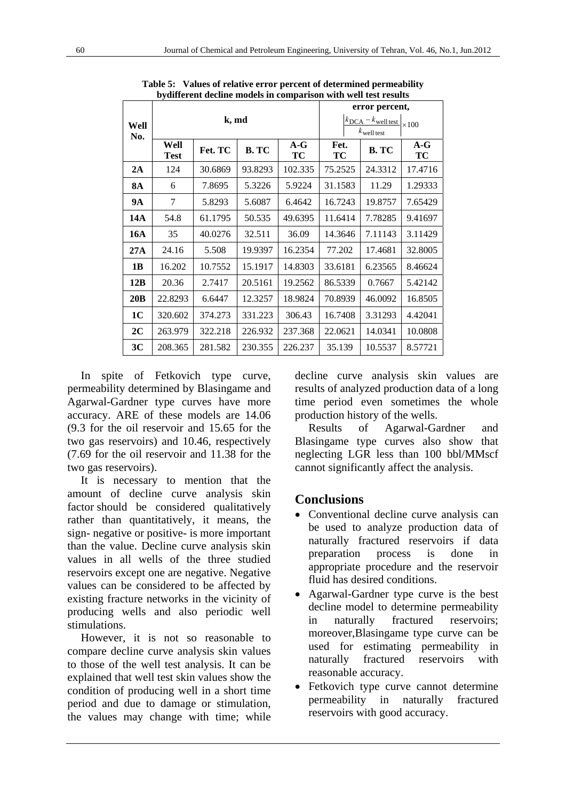|                |                     |         |         | error percent,                                                                    |            |         |             |
|----------------|---------------------|---------|---------|-----------------------------------------------------------------------------------|------------|---------|-------------|
| Well<br>No.    |                     | k, md   |         | $k_{\text{DCA}} - k_{\text{well test}}$<br>$\times 100$<br>$k_{\text{well test}}$ |            |         |             |
|                | Well<br><b>Test</b> | Fet. TC | B. TC   | $A-G$<br>ТC                                                                       | Fet.<br>ТC | B. TC   | $A-G$<br>TC |
| 2A             | 124                 | 30.6869 | 93.8293 | 102.335                                                                           | 75.2525    | 24.3312 | 17.4716     |
| <b>8A</b>      | 6                   | 7.8695  | 5.3226  | 5.9224                                                                            | 31.1583    | 11.29   | 1.29333     |
| 9А             | 7                   | 5.8293  | 5.6087  | 6.4642                                                                            | 16.7243    | 19.8757 | 7.65429     |
| 14A            | 54.8                | 61.1795 | 50.535  | 49.6395                                                                           | 11.6414    | 7.78285 | 9.41697     |
| 16A            | 35                  | 40.0276 | 32.511  | 36.09                                                                             | 14.3646    | 7.11143 | 3.11429     |
| 27A            | 24.16               | 5.508   | 19.9397 | 16.2354                                                                           | 77.202     | 17.4681 | 32.8005     |
| 1B             | 16.202              | 10.7552 | 15.1917 | 14.8303                                                                           | 33.6181    | 6.23565 | 8.46624     |
| 12B            | 20.36               | 2.7417  | 20.5161 | 19.2562                                                                           | 86.5339    | 0.7667  | 5.42142     |
| 20B            | 22.8293             | 6.6447  | 12.3257 | 18.9824                                                                           | 70.8939    | 46.0092 | 16.8505     |
| <b>1C</b>      | 320.602             | 374.273 | 331.223 | 306.43                                                                            | 16.7408    | 3.31293 | 4.42041     |
| 2C             | 263.979             | 322.218 | 226.932 | 237.368                                                                           | 22.0621    | 14.0341 | 10.0808     |
| 3 <sub>C</sub> | 208.365             | 281.582 | 230.355 | 226.237                                                                           | 35.139     | 10.5537 | 8.57721     |

**Table 5: Values of relative error percent of determined permeability bydifferent decline models in comparison with well test results** 

In spite of Fetkovich type curve, permeability determined by Blasingame and Agarwal-Gardner type curves have more accuracy. ARE of these models are 14.06 (9.3 for the oil reservoir and 15.65 for the two gas reservoirs) and 10.46, respectively (7.69 for the oil reservoir and 11.38 for the two gas reservoirs).

It is necessary to mention that the amount of decline curve analysis skin factor should be considered qualitatively rather than quantitatively, it means, the sign- negative or positive- is more important than the value. Decline curve analysis skin values in all wells of the three studied reservoirs except one are negative. Negative values can be considered to be affected by existing fracture networks in the vicinity of producing wells and also periodic well stimulations.

However, it is not so reasonable to compare decline curve analysis skin values to those of the well test analysis. It can be explained that well test skin values show the condition of producing well in a short time period and due to damage or stimulation, the values may change with time; while decline curve analysis skin values are results of analyzed production data of a long time period even sometimes the whole production history of the wells.

Results of Agarwal-Gardner and Blasingame type curves also show that neglecting LGR less than 100 bbl/MMscf cannot significantly affect the analysis.

# **Conclusions**

- Conventional decline curve analysis can be used to analyze production data of naturally fractured reservoirs if data preparation process is done in appropriate procedure and the reservoir fluid has desired conditions.
- Agarwal-Gardner type curve is the best decline model to determine permeability in naturally fractured reservoirs; moreover,Blasingame type curve can be used for estimating permeability in naturally fractured reservoirs with reasonable accuracy.
- Fetkovich type curve cannot determine permeability in naturally fractured reservoirs with good accuracy.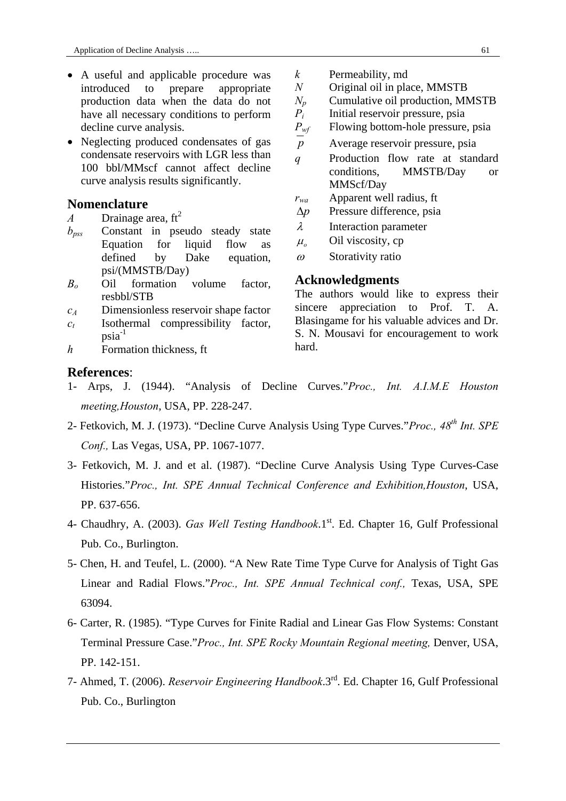- A useful and applicable procedure was introduced to prepare appropriate production data when the data do not have all necessary conditions to perform decline curve analysis.
- Neglecting produced condensates of gas condensate reservoirs with LGR less than 100 bbl/MMscf cannot affect decline curve analysis results significantly.

#### **Nomenclature**

- *A* Drainage area,  $ft^2$
- *bpss* Constant in pseudo steady state Equation for liquid flow as defined by Dake equation, psi/(MMSTB/Day)
- *Bo* Oil formation volume factor, resbbl/STB
- *cA* Dimensionless reservoir shape factor
- $c_t$  Isothermal compressibility factor,  $psia^{-1}$
- *h* Formation thickness, ft
- *k* Permeability, md
- *N* Original oil in place, MMSTB
- $N_p$  Cumulative oil production, MMSTB
- *P<sub>i</sub>* Initial reservoir pressure, psia
- *P<sub>wf</sub>* Flowing bottom-hole pressure, psia
- *p* Average reservoir pressure, psia
- *q* Production flow rate at standard conditions, MMSTB/Day or MMScf/Day
- *rwa* Apparent well radius, ft
- $\Delta p$  Pressure difference, psia
- $\lambda$  Interaction parameter
- $\mu$ <sub>o</sub> Oil viscosity, cp
- $\omega$  Storativity ratio

#### **Acknowledgments**

The authors would like to express their sincere appreciation to Prof. T. A. Blasingame for his valuable advices and Dr. S. N. Mousavi for encouragement to work hard.

#### **References**:

- 1- Arps, J. (1944). "Analysis of Decline Curves."*Proc., Int. A.I.M.E Houston meeting,Houston*, USA, PP. 228-247.
- 2- Fetkovich, M. J. (1973). "Decline Curve Analysis Using Type Curves."*Proc., 48th Int. SPE Conf.,* Las Vegas, USA, PP. 1067-1077.
- 3- Fetkovich, M. J. and et al. (1987). "Decline Curve Analysis Using Type Curves-Case Histories."*Proc., Int. SPE Annual Technical Conference and Exhibition,Houston*, USA, PP. 637-656.
- 4- Chaudhry, A. (2003). *Gas Well Testing Handbook*.1<sup>st</sup>. Ed. Chapter 16, Gulf Professional Pub. Co., Burlington.
- 5- Chen, H. and Teufel, L. (2000). "A New Rate Time Type Curve for Analysis of Tight Gas Linear and Radial Flows."*Proc., Int. SPE Annual Technical conf.,* Texas, USA, SPE 63094.
- 6- Carter, R. (1985). "Type Curves for Finite Radial and Linear Gas Flow Systems: Constant Terminal Pressure Case."*Proc., Int. SPE Rocky Mountain Regional meeting,* Denver, USA, PP. 142-151.
- 7- Ahmed, T. (2006). *Reservoir Engineering Handbook*.3rd. Ed. Chapter 16, Gulf Professional Pub. Co., Burlington